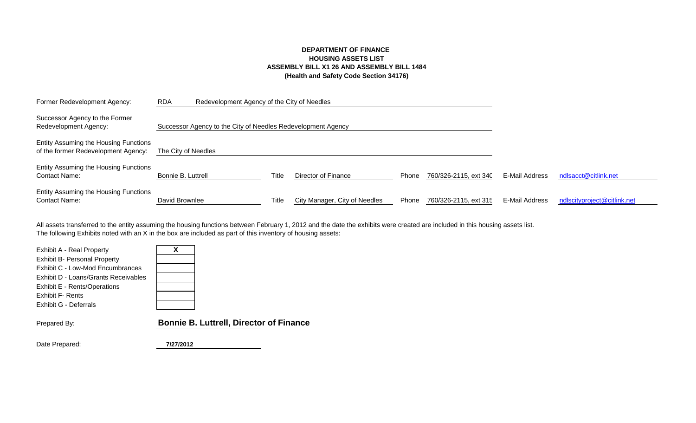# **DEPARTMENT OF FINANCE HOUSING ASSETS LIST ASSEMBLY BILL X1 26 AND ASSEMBLY BILL 1484 (Health and Safety Code Section 34176)**

| Former Redevelopment Agency:                                                 | <b>RDA</b>          | Redevelopment Agency of the City of Needles                  |              |                               |       |                       |                |                             |
|------------------------------------------------------------------------------|---------------------|--------------------------------------------------------------|--------------|-------------------------------|-------|-----------------------|----------------|-----------------------------|
| Successor Agency to the Former<br>Redevelopment Agency:                      |                     | Successor Agency to the City of Needles Redevelopment Agency |              |                               |       |                       |                |                             |
| Entity Assuming the Housing Functions<br>of the former Redevelopment Agency: | The City of Needles |                                                              |              |                               |       |                       |                |                             |
| Entity Assuming the Housing Functions<br><b>Contact Name:</b>                | Bonnie B. Luttrell  |                                                              | Title        | Director of Finance           | Phone | 760/326-2115, ext 340 | E-Mail Address | ndlsacct@citlink.net        |
| Entity Assuming the Housing Functions<br><b>Contact Name:</b>                | David Brownlee      |                                                              | <b>Title</b> | City Manager, City of Needles | Phone | 760/326-2115, ext 315 | E-Mail Address | ndlscityproject@citlink.net |

The following Exhibits noted with an X in the box are included as part of this inventory of housing assets: All assets transferred to the entity assuming the housing functions between February 1, 2012 and the date the exhibits were created are included in this housing assets list.

| Exhibit A - Real Property<br><b>Exhibit B- Personal Property</b><br>Exhibit C - Low-Mod Encumbrances<br>Exhibit D - Loans/Grants Receivables<br>Exhibit E - Rents/Operations<br><b>Exhibit F- Rents</b><br>Exhibit G - Deferrals | Χ                                              |
|----------------------------------------------------------------------------------------------------------------------------------------------------------------------------------------------------------------------------------|------------------------------------------------|
| Prepared By:                                                                                                                                                                                                                     | <b>Bonnie B. Luttrell, Director of Finance</b> |

Date Prepared: **7/27/2012**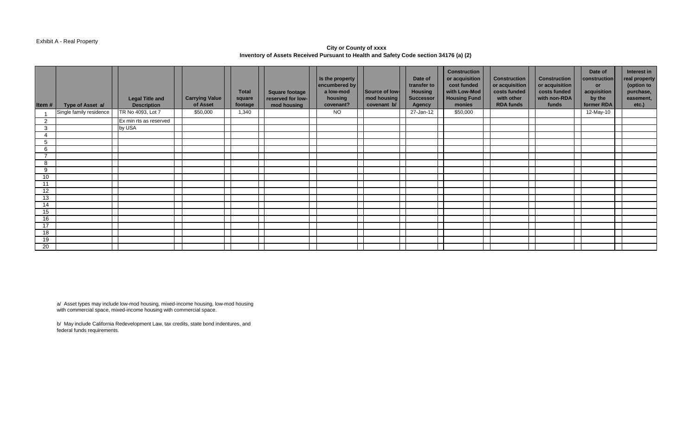#### Exhibit A - Real Property

### **City or County of xxxx Inventory of Assets Received Pursuant to Health and Safety Code section 34176 (a) (2)**

| Item#                    | Type of Asset a/        | <b>Legal Title and</b><br><b>Description</b> | <b>Carrying Value</b><br>of Asset | <b>Total</b><br>square<br>footage | <b>Square footage</b><br>reserved for low-<br>mod housing | Is the property<br>encumbered by<br>a low-mod<br>housing<br>covenant? | Source of low-<br>mod housing<br>covenant b/ | Date of<br>transfer to<br><b>Housing</b><br><b>Successor</b><br><b>Agency</b> | <b>Construction</b><br>or acquisition<br>cost funded<br>with Low-Mod<br><b>Housing Fund</b><br>monies | <b>Construction</b><br>$\alpha$ or acquisition<br>costs funded<br>with other<br><b>RDA funds</b> | <b>Construction</b><br>or acquisition<br>costs funded<br>with non-RDA<br>funds | Date of<br>construction<br><b>or</b><br>acquisition<br>by the<br>former RDA | Interest in<br>real property<br>(option to<br>purchase,<br>easement,<br>etc.) |
|--------------------------|-------------------------|----------------------------------------------|-----------------------------------|-----------------------------------|-----------------------------------------------------------|-----------------------------------------------------------------------|----------------------------------------------|-------------------------------------------------------------------------------|-------------------------------------------------------------------------------------------------------|--------------------------------------------------------------------------------------------------|--------------------------------------------------------------------------------|-----------------------------------------------------------------------------|-------------------------------------------------------------------------------|
|                          | Single family residence | TR No 4093, Lot 7                            | \$50,000                          | 1,340                             |                                                           | <b>NO</b>                                                             |                                              | 27-Jan-12                                                                     | \$50,000                                                                                              |                                                                                                  |                                                                                | 12-May-10                                                                   |                                                                               |
| 2                        |                         | Ex min rts as reserved                       |                                   |                                   |                                                           |                                                                       |                                              |                                                                               |                                                                                                       |                                                                                                  |                                                                                |                                                                             |                                                                               |
| 3                        |                         | by USA                                       |                                   |                                   |                                                           |                                                                       |                                              |                                                                               |                                                                                                       |                                                                                                  |                                                                                |                                                                             |                                                                               |
|                          |                         |                                              |                                   |                                   |                                                           |                                                                       |                                              |                                                                               |                                                                                                       |                                                                                                  |                                                                                |                                                                             |                                                                               |
| 5                        |                         |                                              |                                   |                                   |                                                           |                                                                       |                                              |                                                                               |                                                                                                       |                                                                                                  |                                                                                |                                                                             |                                                                               |
| 6                        |                         |                                              |                                   |                                   |                                                           |                                                                       |                                              |                                                                               |                                                                                                       |                                                                                                  |                                                                                |                                                                             |                                                                               |
| $\overline{\phantom{a}}$ |                         |                                              |                                   |                                   |                                                           |                                                                       |                                              |                                                                               |                                                                                                       |                                                                                                  |                                                                                |                                                                             |                                                                               |
| 8                        |                         |                                              |                                   |                                   |                                                           |                                                                       |                                              |                                                                               |                                                                                                       |                                                                                                  |                                                                                |                                                                             |                                                                               |
| 9                        |                         |                                              |                                   |                                   |                                                           |                                                                       |                                              |                                                                               |                                                                                                       |                                                                                                  |                                                                                |                                                                             |                                                                               |
| 10 <sup>°</sup>          |                         |                                              |                                   |                                   |                                                           |                                                                       |                                              |                                                                               |                                                                                                       |                                                                                                  |                                                                                |                                                                             |                                                                               |
| 11                       |                         |                                              |                                   |                                   |                                                           |                                                                       |                                              |                                                                               |                                                                                                       |                                                                                                  |                                                                                |                                                                             |                                                                               |
| 12                       |                         |                                              |                                   |                                   |                                                           |                                                                       |                                              |                                                                               |                                                                                                       |                                                                                                  |                                                                                |                                                                             |                                                                               |
| 13                       |                         |                                              |                                   |                                   |                                                           |                                                                       |                                              |                                                                               |                                                                                                       |                                                                                                  |                                                                                |                                                                             |                                                                               |
| 14                       |                         |                                              |                                   |                                   |                                                           |                                                                       |                                              |                                                                               |                                                                                                       |                                                                                                  |                                                                                |                                                                             |                                                                               |
| 15                       |                         |                                              |                                   |                                   |                                                           |                                                                       |                                              |                                                                               |                                                                                                       |                                                                                                  |                                                                                |                                                                             |                                                                               |
| 16                       |                         |                                              |                                   |                                   |                                                           |                                                                       |                                              |                                                                               |                                                                                                       |                                                                                                  |                                                                                |                                                                             |                                                                               |
| 17                       |                         |                                              |                                   |                                   |                                                           |                                                                       |                                              |                                                                               |                                                                                                       |                                                                                                  |                                                                                |                                                                             |                                                                               |
| 18                       |                         |                                              |                                   |                                   |                                                           |                                                                       |                                              |                                                                               |                                                                                                       |                                                                                                  |                                                                                |                                                                             |                                                                               |
| 19                       |                         |                                              |                                   |                                   |                                                           |                                                                       |                                              |                                                                               |                                                                                                       |                                                                                                  |                                                                                |                                                                             |                                                                               |
| 20                       |                         |                                              |                                   |                                   |                                                           |                                                                       |                                              |                                                                               |                                                                                                       |                                                                                                  |                                                                                |                                                                             |                                                                               |

a/ Asset types may include low-mod housing, mixed-income housing, low-mod housing with commercial space, mixed-income housing with commercial space.

b/ May include California Redevelopment Law, tax credits, state bond indentures, and federal funds requirements.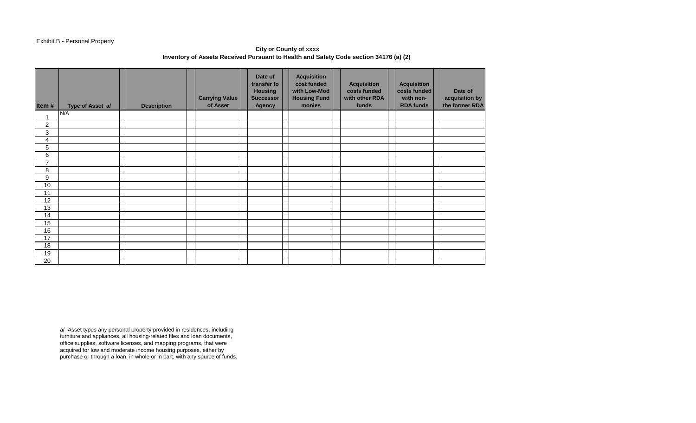# Exhibit B - Personal Property

**City or County of xxxx Inventory of Assets Received Pursuant to Health and Safety Code section 34176 (a) (2)** 

| Item#            | Type of Asset a/ | <b>Description</b> | <b>Carrying Value</b><br>of Asset | Date of<br>transfer to<br><b>Housing</b><br><b>Successor</b><br><b>Agency</b> | <b>Acquisition</b><br>cost funded<br>with Low-Mod<br><b>Housing Fund</b><br>monies | <b>Acquisition</b><br>costs funded<br>with other RDA<br>funds | <b>Acquisition</b><br>costs funded<br>with non-<br><b>RDA funds</b> | Date of<br>acquisition by<br>the former RDA |
|------------------|------------------|--------------------|-----------------------------------|-------------------------------------------------------------------------------|------------------------------------------------------------------------------------|---------------------------------------------------------------|---------------------------------------------------------------------|---------------------------------------------|
| $\overline{1}$   | N/A              |                    |                                   |                                                                               |                                                                                    |                                                               |                                                                     |                                             |
| $\boldsymbol{2}$ |                  |                    |                                   |                                                                               |                                                                                    |                                                               |                                                                     |                                             |
| $\mathfrak{B}$   |                  |                    |                                   |                                                                               |                                                                                    |                                                               |                                                                     |                                             |
| 4                |                  |                    |                                   |                                                                               |                                                                                    |                                                               |                                                                     |                                             |
| 5                |                  |                    |                                   |                                                                               |                                                                                    |                                                               |                                                                     |                                             |
| 6                |                  |                    |                                   |                                                                               |                                                                                    |                                                               |                                                                     |                                             |
| $\overline{7}$   |                  |                    |                                   |                                                                               |                                                                                    |                                                               |                                                                     |                                             |
| 8                |                  |                    |                                   |                                                                               |                                                                                    |                                                               |                                                                     |                                             |
| $\boldsymbol{9}$ |                  |                    |                                   |                                                                               |                                                                                    |                                                               |                                                                     |                                             |
| 10               |                  |                    |                                   |                                                                               |                                                                                    |                                                               |                                                                     |                                             |
| 11               |                  |                    |                                   |                                                                               |                                                                                    |                                                               |                                                                     |                                             |
| 12               |                  |                    |                                   |                                                                               |                                                                                    |                                                               |                                                                     |                                             |
| 13               |                  |                    |                                   |                                                                               |                                                                                    |                                                               |                                                                     |                                             |
| 14               |                  |                    |                                   |                                                                               |                                                                                    |                                                               |                                                                     |                                             |
| 15               |                  |                    |                                   |                                                                               |                                                                                    |                                                               |                                                                     |                                             |
| 16               |                  |                    |                                   |                                                                               |                                                                                    |                                                               |                                                                     |                                             |
| 17               |                  |                    |                                   |                                                                               |                                                                                    |                                                               |                                                                     |                                             |
| 18               |                  |                    |                                   |                                                                               |                                                                                    |                                                               |                                                                     |                                             |
| 19               |                  |                    |                                   |                                                                               |                                                                                    |                                                               |                                                                     |                                             |
| 20               |                  |                    |                                   |                                                                               |                                                                                    |                                                               |                                                                     |                                             |

a/ Asset types any personal property provided in residences, including furniture and appliances, all housing-related files and loan documents, office supplies, software licenses, and mapping programs, that were acquired for low and moderate income housing purposes, either by purchase or through a loan, in whole or in part, with any source of funds.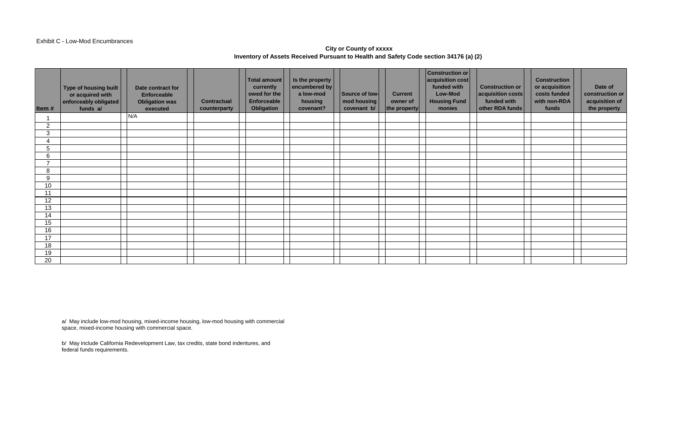#### Exhibit C - Low-Mod Encumbrances

# **City or County of xxxxx Inventory of Assets Received Pursuant to Health and Safety Code section 34176 (a) (2)**

| Item#          | Type of housing built<br>or acquired with<br>enforceably obligated<br>funds a/ | Date contract for<br><b>Enforceable</b><br><b>Obligation was</b><br>executed | <b>Contractual</b><br>counterparty | Total amount<br>currently<br>owed for the<br>Enforceable<br>Obligation | Is the property<br>encumbered by<br>a low-mod<br>housing<br>covenant? | Source of low-<br>mod housing<br>covenant b/ | <b>Current</b><br>owner of<br>the property | <b>Construction or</b><br>acquisition cost<br>funded with<br>Low-Mod<br><b>Housing Fund</b><br>monies | <b>Construction or</b><br>acquisition costs<br>funded with<br>other RDA funds | <b>Construction</b><br>or acquisition<br>costs funded<br>with non-RDA<br>funds | Date of<br>construction or<br>acquisition of<br>the property |
|----------------|--------------------------------------------------------------------------------|------------------------------------------------------------------------------|------------------------------------|------------------------------------------------------------------------|-----------------------------------------------------------------------|----------------------------------------------|--------------------------------------------|-------------------------------------------------------------------------------------------------------|-------------------------------------------------------------------------------|--------------------------------------------------------------------------------|--------------------------------------------------------------|
|                |                                                                                | N/A                                                                          |                                    |                                                                        |                                                                       |                                              |                                            |                                                                                                       |                                                                               |                                                                                |                                                              |
| $\overline{2}$ |                                                                                |                                                                              |                                    |                                                                        |                                                                       |                                              |                                            |                                                                                                       |                                                                               |                                                                                |                                                              |
| 3              |                                                                                |                                                                              |                                    |                                                                        |                                                                       |                                              |                                            |                                                                                                       |                                                                               |                                                                                |                                                              |
|                |                                                                                |                                                                              |                                    |                                                                        |                                                                       |                                              |                                            |                                                                                                       |                                                                               |                                                                                |                                                              |
| 5              |                                                                                |                                                                              |                                    |                                                                        |                                                                       |                                              |                                            |                                                                                                       |                                                                               |                                                                                |                                                              |
| 6              |                                                                                |                                                                              |                                    |                                                                        |                                                                       |                                              |                                            |                                                                                                       |                                                                               |                                                                                |                                                              |
| ⇁              |                                                                                |                                                                              |                                    |                                                                        |                                                                       |                                              |                                            |                                                                                                       |                                                                               |                                                                                |                                                              |
| 8              |                                                                                |                                                                              |                                    |                                                                        |                                                                       |                                              |                                            |                                                                                                       |                                                                               |                                                                                |                                                              |
| 9              |                                                                                |                                                                              |                                    |                                                                        |                                                                       |                                              |                                            |                                                                                                       |                                                                               |                                                                                |                                                              |
| 10             |                                                                                |                                                                              |                                    |                                                                        |                                                                       |                                              |                                            |                                                                                                       |                                                                               |                                                                                |                                                              |
| 11             |                                                                                |                                                                              |                                    |                                                                        |                                                                       |                                              |                                            |                                                                                                       |                                                                               |                                                                                |                                                              |
| 12             |                                                                                |                                                                              |                                    |                                                                        |                                                                       |                                              |                                            |                                                                                                       |                                                                               |                                                                                |                                                              |
| 13             |                                                                                |                                                                              |                                    |                                                                        |                                                                       |                                              |                                            |                                                                                                       |                                                                               |                                                                                |                                                              |
| 14             |                                                                                |                                                                              |                                    |                                                                        |                                                                       |                                              |                                            |                                                                                                       |                                                                               |                                                                                |                                                              |
| 15             |                                                                                |                                                                              |                                    |                                                                        |                                                                       |                                              |                                            |                                                                                                       |                                                                               |                                                                                |                                                              |
| 16             |                                                                                |                                                                              |                                    |                                                                        |                                                                       |                                              |                                            |                                                                                                       |                                                                               |                                                                                |                                                              |
| 17             |                                                                                |                                                                              |                                    |                                                                        |                                                                       |                                              |                                            |                                                                                                       |                                                                               |                                                                                |                                                              |
| 18             |                                                                                |                                                                              |                                    |                                                                        |                                                                       |                                              |                                            |                                                                                                       |                                                                               |                                                                                |                                                              |
| 19             |                                                                                |                                                                              |                                    |                                                                        |                                                                       |                                              |                                            |                                                                                                       |                                                                               |                                                                                |                                                              |
| 20             |                                                                                |                                                                              |                                    |                                                                        |                                                                       |                                              |                                            |                                                                                                       |                                                                               |                                                                                |                                                              |

a/ May include low-mod housing, mixed-income housing, low-mod housing with commercial space, mixed-income housing with commercial space.

b/ May include California Redevelopment Law, tax credits, state bond indentures, and federal funds requirements.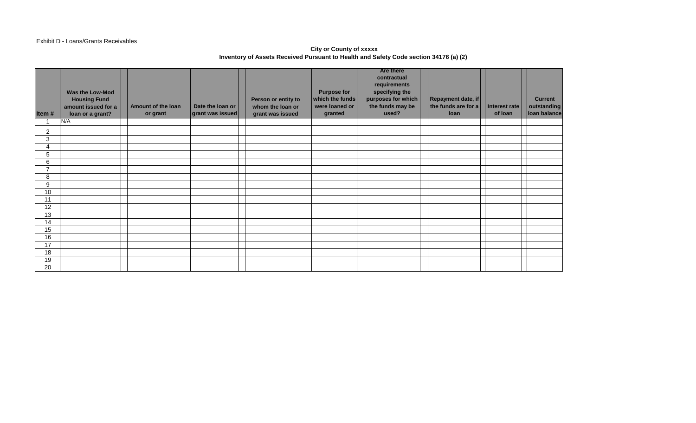## Exhibit D - Loans/Grants Receivables

### **City or County of xxxxx Inventory of Assets Received Pursuant to Health and Safety Code section 34176 (a) (2)**

| Item#          | Was the Low-Mod<br><b>Housing Fund</b><br>amount issued for a<br>loan or a grant? | Amount of the loan<br>or grant | Date the loan or<br>grant was issued | Person or entity to<br>whom the loan or<br>grant was issued | <b>Purpose for</b><br>which the funds<br>were loaned or<br>granted | <b>Are there</b><br>contractual<br>requirements<br>specifying the<br>purposes for which<br>the funds may be<br>used? | Repayment date, if<br>the funds are for a<br>loan | Interest rate<br>of loan | <b>Current</b><br>outstanding<br>loan balance |
|----------------|-----------------------------------------------------------------------------------|--------------------------------|--------------------------------------|-------------------------------------------------------------|--------------------------------------------------------------------|----------------------------------------------------------------------------------------------------------------------|---------------------------------------------------|--------------------------|-----------------------------------------------|
|                | N/A                                                                               |                                |                                      |                                                             |                                                                    |                                                                                                                      |                                                   |                          |                                               |
| 2              |                                                                                   |                                |                                      |                                                             |                                                                    |                                                                                                                      |                                                   |                          |                                               |
| 3              |                                                                                   |                                |                                      |                                                             |                                                                    |                                                                                                                      |                                                   |                          |                                               |
| 4              |                                                                                   |                                |                                      |                                                             |                                                                    |                                                                                                                      |                                                   |                          |                                               |
| 5              |                                                                                   |                                |                                      |                                                             |                                                                    |                                                                                                                      |                                                   |                          |                                               |
| 6              |                                                                                   |                                |                                      |                                                             |                                                                    |                                                                                                                      |                                                   |                          |                                               |
| $\overline{ }$ |                                                                                   |                                |                                      |                                                             |                                                                    |                                                                                                                      |                                                   |                          |                                               |
| 8              |                                                                                   |                                |                                      |                                                             |                                                                    |                                                                                                                      |                                                   |                          |                                               |
| 9              |                                                                                   |                                |                                      |                                                             |                                                                    |                                                                                                                      |                                                   |                          |                                               |
| 10<br>11       |                                                                                   |                                |                                      |                                                             |                                                                    |                                                                                                                      |                                                   |                          |                                               |
| 12             |                                                                                   |                                |                                      |                                                             |                                                                    |                                                                                                                      |                                                   |                          |                                               |
| 13             |                                                                                   |                                |                                      |                                                             |                                                                    |                                                                                                                      |                                                   |                          |                                               |
| 14             |                                                                                   |                                |                                      |                                                             |                                                                    |                                                                                                                      |                                                   |                          |                                               |
| 15             |                                                                                   |                                |                                      |                                                             |                                                                    |                                                                                                                      |                                                   |                          |                                               |
| 16             |                                                                                   |                                |                                      |                                                             |                                                                    |                                                                                                                      |                                                   |                          |                                               |
| 17             |                                                                                   |                                |                                      |                                                             |                                                                    |                                                                                                                      |                                                   |                          |                                               |
| 18             |                                                                                   |                                |                                      |                                                             |                                                                    |                                                                                                                      |                                                   |                          |                                               |
| 19             |                                                                                   |                                |                                      |                                                             |                                                                    |                                                                                                                      |                                                   |                          |                                               |
| 20             |                                                                                   |                                |                                      |                                                             |                                                                    |                                                                                                                      |                                                   |                          |                                               |
|                |                                                                                   |                                |                                      |                                                             |                                                                    |                                                                                                                      |                                                   |                          |                                               |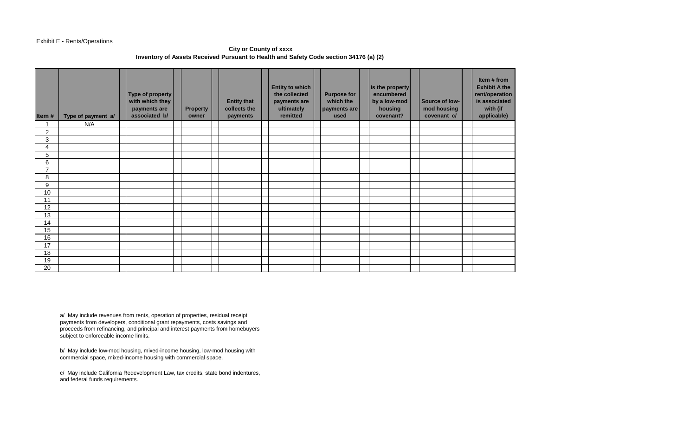### Exhibit E - Rents/Operations

## **City or County of xxxx Inventory of Assets Received Pursuant to Health and Safety Code section 34176 (a) (2)**

| Item#          | Type of payment a/ | Type of property<br>with which they<br>payments are<br>associated b/ | <b>Property</b><br>owner | <b>Entity that</b><br>collects the<br>payments | <b>Entity to which</b><br>the collected<br>payments are<br>ultimately<br>remitted | <b>Purpose for</b><br>which the<br>payments are<br>used | Is the property<br>encumbered<br>by a low-mod<br>housing<br>covenant? | Source of low-<br>mod housing<br>covenant c/ | Item # from<br><b>Exhibit A the</b><br>rent/operation<br>is associated<br>with (if<br>applicable) |
|----------------|--------------------|----------------------------------------------------------------------|--------------------------|------------------------------------------------|-----------------------------------------------------------------------------------|---------------------------------------------------------|-----------------------------------------------------------------------|----------------------------------------------|---------------------------------------------------------------------------------------------------|
| 1              | N/A                |                                                                      |                          |                                                |                                                                                   |                                                         |                                                                       |                                              |                                                                                                   |
| 2              |                    |                                                                      |                          |                                                |                                                                                   |                                                         |                                                                       |                                              |                                                                                                   |
| 3              |                    |                                                                      |                          |                                                |                                                                                   |                                                         |                                                                       |                                              |                                                                                                   |
| 4              |                    |                                                                      |                          |                                                |                                                                                   |                                                         |                                                                       |                                              |                                                                                                   |
| 5              |                    |                                                                      |                          |                                                |                                                                                   |                                                         |                                                                       |                                              |                                                                                                   |
| 6              |                    |                                                                      |                          |                                                |                                                                                   |                                                         |                                                                       |                                              |                                                                                                   |
| $\overline{7}$ |                    |                                                                      |                          |                                                |                                                                                   |                                                         |                                                                       |                                              |                                                                                                   |
| 8              |                    |                                                                      |                          |                                                |                                                                                   |                                                         |                                                                       |                                              |                                                                                                   |
| 9              |                    |                                                                      |                          |                                                |                                                                                   |                                                         |                                                                       |                                              |                                                                                                   |
| 10             |                    |                                                                      |                          |                                                |                                                                                   |                                                         |                                                                       |                                              |                                                                                                   |
| 11             |                    |                                                                      |                          |                                                |                                                                                   |                                                         |                                                                       |                                              |                                                                                                   |
| 12             |                    |                                                                      |                          |                                                |                                                                                   |                                                         |                                                                       |                                              |                                                                                                   |
| 13             |                    |                                                                      |                          |                                                |                                                                                   |                                                         |                                                                       |                                              |                                                                                                   |
| 14             |                    |                                                                      |                          |                                                |                                                                                   |                                                         |                                                                       |                                              |                                                                                                   |
| 15             |                    |                                                                      |                          |                                                |                                                                                   |                                                         |                                                                       |                                              |                                                                                                   |
| 16             |                    |                                                                      |                          |                                                |                                                                                   |                                                         |                                                                       |                                              |                                                                                                   |
| 17             |                    |                                                                      |                          |                                                |                                                                                   |                                                         |                                                                       |                                              |                                                                                                   |
| 18             |                    |                                                                      |                          |                                                |                                                                                   |                                                         |                                                                       |                                              |                                                                                                   |
| 19             |                    |                                                                      |                          |                                                |                                                                                   |                                                         |                                                                       |                                              |                                                                                                   |
| 20             |                    |                                                                      |                          |                                                |                                                                                   |                                                         |                                                                       |                                              |                                                                                                   |

a/ May include revenues from rents, operation of properties, residual receipt payments from developers, conditional grant repayments, costs savings and proceeds from refinancing, and principal and interest payments from homebuyers subject to enforceable income limits.

b/ May include low-mod housing, mixed-income housing, low-mod housing with commercial space, mixed-income housing with commercial space.

c/ May include California Redevelopment Law, tax credits, state bond indentures, and federal funds requirements.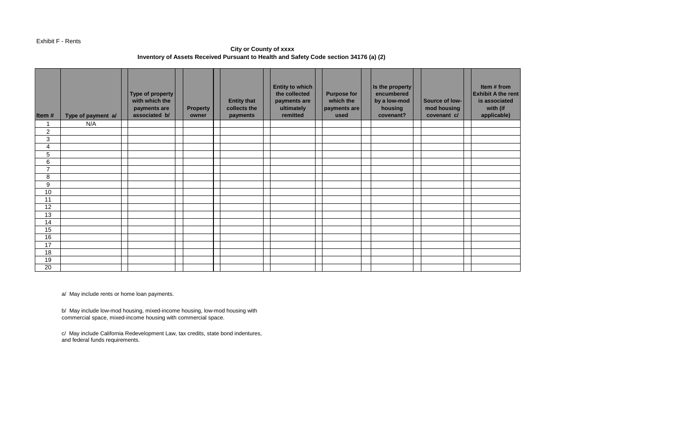#### Exhibit F - Rents

# **City or County of xxxx Inventory of Assets Received Pursuant to Health and Safety Code section 34176 (a) (2)**

| Item#          | Type of payment a/ | Type of property<br>with which the<br>payments are<br>associated b/ | <b>Property</b><br>owner | <b>Entity that</b><br>collects the<br>payments | <b>Entity to which</b><br>the collected<br>payments are<br>ultimately<br>remitted | <b>Purpose for</b><br>which the<br>payments are<br>used | Is the property<br>encumbered<br>by a low-mod<br>housing<br>covenant? | Source of low-<br>mod housing<br>covenant c/ | Item # from<br><b>Exhibit A the rent</b><br>is associated<br>with (if<br>applicable) |
|----------------|--------------------|---------------------------------------------------------------------|--------------------------|------------------------------------------------|-----------------------------------------------------------------------------------|---------------------------------------------------------|-----------------------------------------------------------------------|----------------------------------------------|--------------------------------------------------------------------------------------|
|                | N/A                |                                                                     |                          |                                                |                                                                                   |                                                         |                                                                       |                                              |                                                                                      |
| $\overline{c}$ |                    |                                                                     |                          |                                                |                                                                                   |                                                         |                                                                       |                                              |                                                                                      |
| $\mathfrak{B}$ |                    |                                                                     |                          |                                                |                                                                                   |                                                         |                                                                       |                                              |                                                                                      |
| 4              |                    |                                                                     |                          |                                                |                                                                                   |                                                         |                                                                       |                                              |                                                                                      |
| $\mathbf 5$    |                    |                                                                     |                          |                                                |                                                                                   |                                                         |                                                                       |                                              |                                                                                      |
| 6              |                    |                                                                     |                          |                                                |                                                                                   |                                                         |                                                                       |                                              |                                                                                      |
| $\overline{7}$ |                    |                                                                     |                          |                                                |                                                                                   |                                                         |                                                                       |                                              |                                                                                      |
| 8              |                    |                                                                     |                          |                                                |                                                                                   |                                                         |                                                                       |                                              |                                                                                      |
| 9              |                    |                                                                     |                          |                                                |                                                                                   |                                                         |                                                                       |                                              |                                                                                      |
| 10             |                    |                                                                     |                          |                                                |                                                                                   |                                                         |                                                                       |                                              |                                                                                      |
| 11             |                    |                                                                     |                          |                                                |                                                                                   |                                                         |                                                                       |                                              |                                                                                      |
| 12             |                    |                                                                     |                          |                                                |                                                                                   |                                                         |                                                                       |                                              |                                                                                      |
| 13             |                    |                                                                     |                          |                                                |                                                                                   |                                                         |                                                                       |                                              |                                                                                      |
| 14             |                    |                                                                     |                          |                                                |                                                                                   |                                                         |                                                                       |                                              |                                                                                      |
| 15             |                    |                                                                     |                          |                                                |                                                                                   |                                                         |                                                                       |                                              |                                                                                      |
| 16             |                    |                                                                     |                          |                                                |                                                                                   |                                                         |                                                                       |                                              |                                                                                      |
| 17             |                    |                                                                     |                          |                                                |                                                                                   |                                                         |                                                                       |                                              |                                                                                      |
| 18             |                    |                                                                     |                          |                                                |                                                                                   |                                                         |                                                                       |                                              |                                                                                      |
| 19             |                    |                                                                     |                          |                                                |                                                                                   |                                                         |                                                                       |                                              |                                                                                      |
| 20             |                    |                                                                     |                          |                                                |                                                                                   |                                                         |                                                                       |                                              |                                                                                      |

a/ May include rents or home loan payments.

b/ May include low-mod housing, mixed-income housing, low-mod housing with commercial space, mixed-income housing with commercial space.

c/ May include California Redevelopment Law, tax credits, state bond indentures, and federal funds requirements.